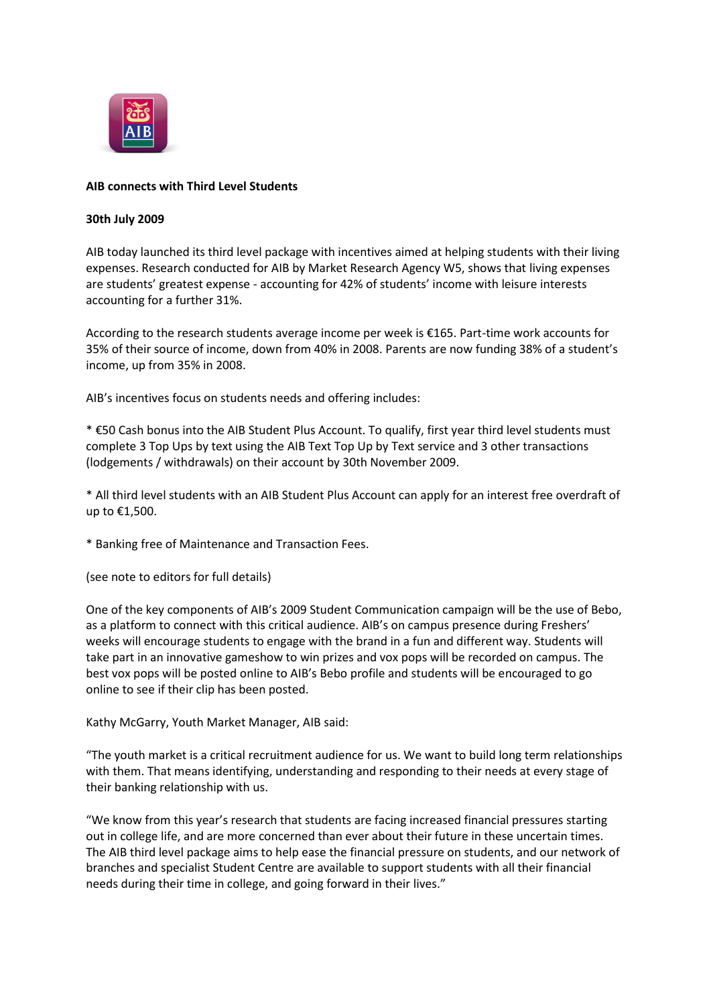

## **AIB connects with Third Level Students**

#### **30th July 2009**

AIB today launched its third level package with incentives aimed at helping students with their living expenses. Research conducted for AIB by Market Research Agency W5, shows that living expenses are students' greatest expense - accounting for 42% of students' income with leisure interests accounting for a further 31%.

According to the research students average income per week is €165. Part-time work accounts for 35% of their source of income, down from 40% in 2008. Parents are now funding 38% of a student's income, up from 35% in 2008.

AIB's incentives focus on students needs and offering includes:

\* €50 Cash bonus into the AIB Student Plus Account. To qualify, first year third level students must complete 3 Top Ups by text using the AIB Text Top Up by Text service and 3 other transactions (lodgements / withdrawals) on their account by 30th November 2009.

\* All third level students with an AIB Student Plus Account can apply for an interest free overdraft of up to €1,500.

\* Banking free of Maintenance and Transaction Fees.

(see note to editors for full details)

One of the key components of AIB's 2009 Student Communication campaign will be the use of Bebo, as a platform to connect with this critical audience. AIB's on campus presence during Freshers' weeks will encourage students to engage with the brand in a fun and different way. Students will take part in an innovative gameshow to win prizes and vox pops will be recorded on campus. The best vox pops will be posted online to AIB's Bebo profile and students will be encouraged to go online to see if their clip has been posted.

Kathy McGarry, Youth Market Manager, AIB said:

"The youth market is a critical recruitment audience for us. We want to build long term relationships with them. That means identifying, understanding and responding to their needs at every stage of their banking relationship with us.

"We know from this year's research that students are facing increased financial pressures starting out in college life, and are more concerned than ever about their future in these uncertain times. The AIB third level package aims to help ease the financial pressure on students, and our network of branches and specialist Student Centre are available to support students with all their financial needs during their time in college, and going forward in their lives."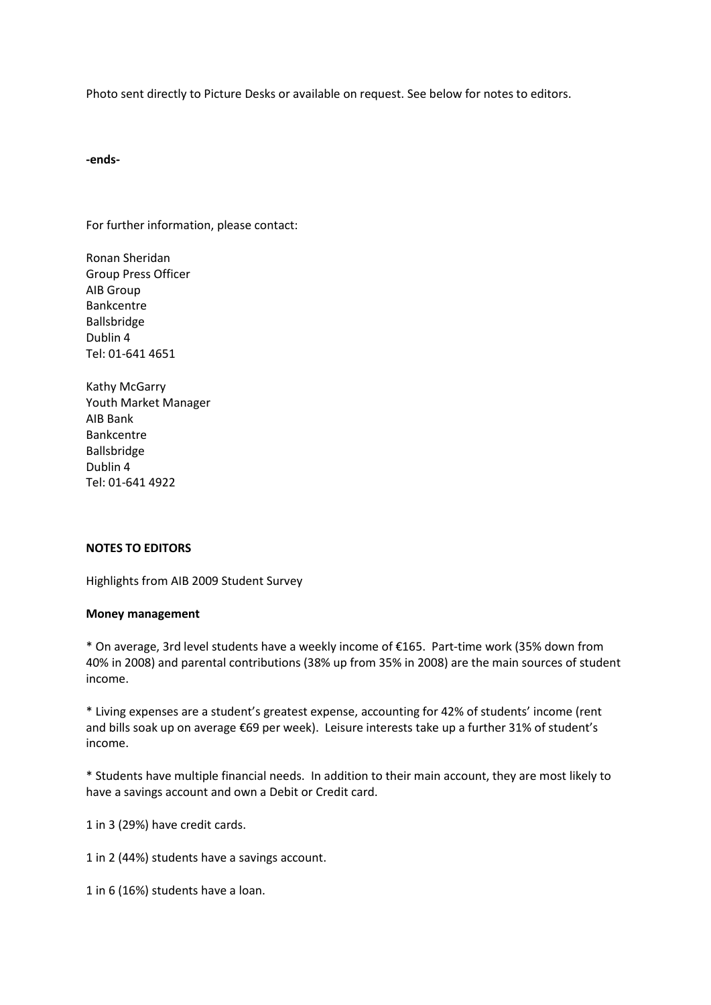Photo sent directly to Picture Desks or available on request. See below for notes to editors.

#### **-ends-**

For further information, please contact:

Ronan Sheridan Group Press Officer AIB Group Bankcentre Ballsbridge Dublin 4 Tel: 01-641 4651

Kathy McGarry Youth Market Manager AIB Bank Bankcentre Ballsbridge Dublin 4 Tel: 01-641 4922

## **NOTES TO EDITORS**

Highlights from AIB 2009 Student Survey

#### **Money management**

\* On average, 3rd level students have a weekly income of €165. Part-time work (35% down from 40% in 2008) and parental contributions (38% up from 35% in 2008) are the main sources of student income.

\* Living expenses are a student's greatest expense, accounting for 42% of students' income (rent and bills soak up on average €69 per week). Leisure interests take up a further 31% of student's income.

\* Students have multiple financial needs. In addition to their main account, they are most likely to have a savings account and own a Debit or Credit card.

1 in 3 (29%) have credit cards.

1 in 2 (44%) students have a savings account.

1 in 6 (16%) students have a loan.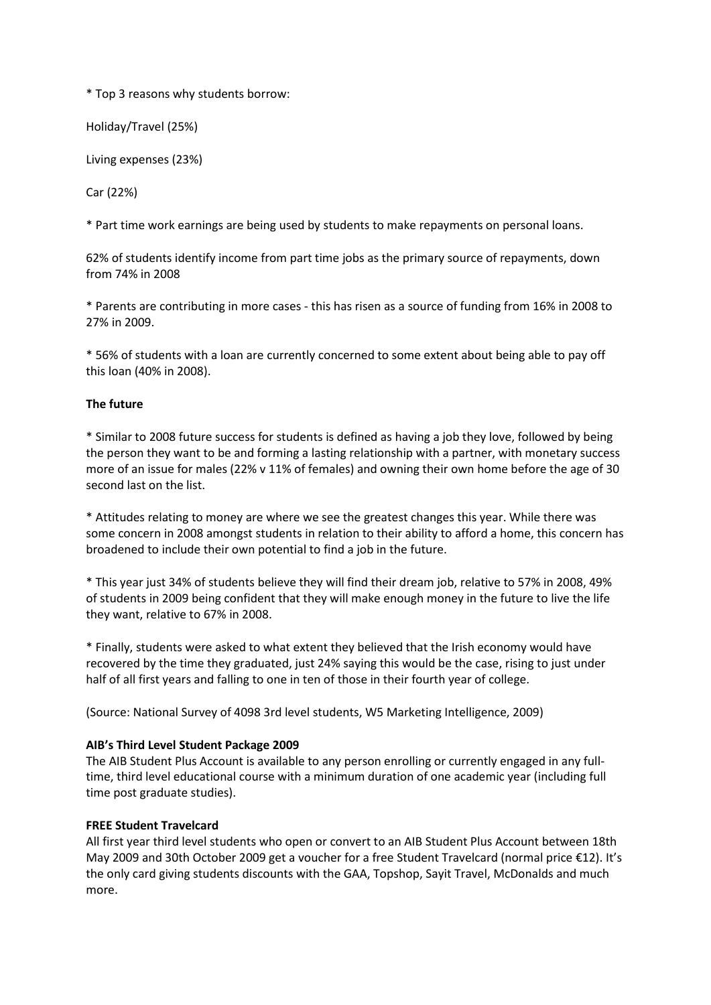\* Top 3 reasons why students borrow:

Holiday/Travel (25%)

Living expenses (23%)

Car (22%)

\* Part time work earnings are being used by students to make repayments on personal loans.

62% of students identify income from part time jobs as the primary source of repayments, down from 74% in 2008

\* Parents are contributing in more cases - this has risen as a source of funding from 16% in 2008 to 27% in 2009.

\* 56% of students with a loan are currently concerned to some extent about being able to pay off this loan (40% in 2008).

# **The future**

\* Similar to 2008 future success for students is defined as having a job they love, followed by being the person they want to be and forming a lasting relationship with a partner, with monetary success more of an issue for males (22% v 11% of females) and owning their own home before the age of 30 second last on the list.

\* Attitudes relating to money are where we see the greatest changes this year. While there was some concern in 2008 amongst students in relation to their ability to afford a home, this concern has broadened to include their own potential to find a job in the future.

\* This year just 34% of students believe they will find their dream job, relative to 57% in 2008, 49% of students in 2009 being confident that they will make enough money in the future to live the life they want, relative to 67% in 2008.

\* Finally, students were asked to what extent they believed that the Irish economy would have recovered by the time they graduated, just 24% saying this would be the case, rising to just under half of all first years and falling to one in ten of those in their fourth year of college.

(Source: National Survey of 4098 3rd level students, W5 Marketing Intelligence, 2009)

## **AIB's Third Level Student Package 2009**

The AIB Student Plus Account is available to any person enrolling or currently engaged in any fulltime, third level educational course with a minimum duration of one academic year (including full time post graduate studies).

## **FREE Student Travelcard**

All first year third level students who open or convert to an AIB Student Plus Account between 18th May 2009 and 30th October 2009 get a voucher for a free Student Travelcard (normal price €12). It's the only card giving students discounts with the GAA, Topshop, Sayit Travel, McDonalds and much more.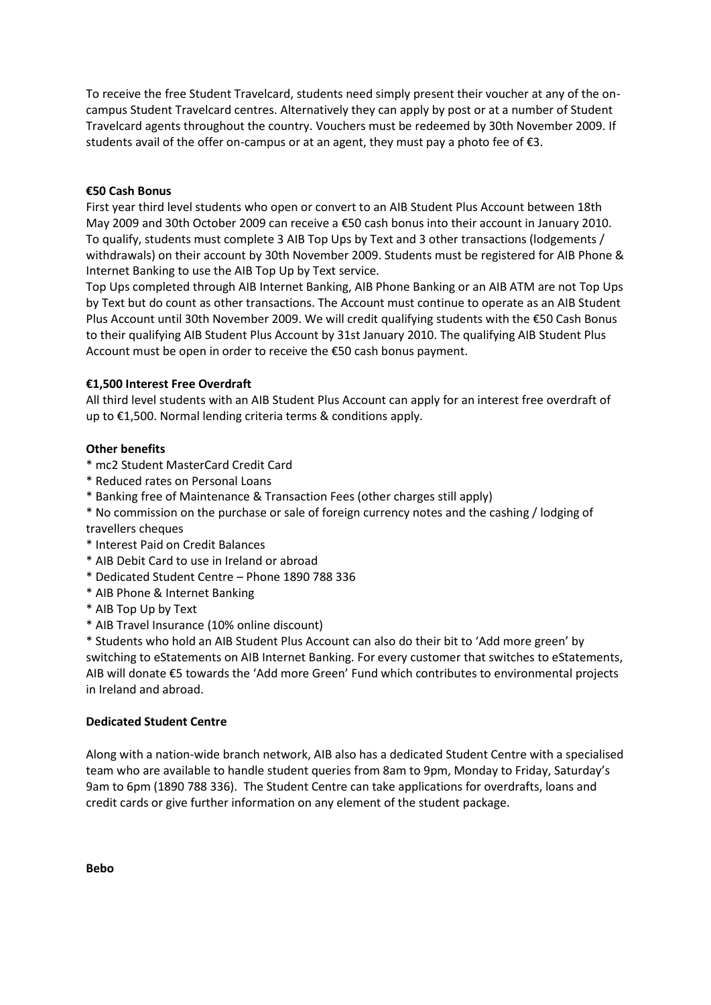To receive the free Student Travelcard, students need simply present their voucher at any of the oncampus Student Travelcard centres. Alternatively they can apply by post or at a number of Student Travelcard agents throughout the country. Vouchers must be redeemed by 30th November 2009. If students avail of the offer on-campus or at an agent, they must pay a photo fee of  $\epsilon$ 3.

## **€50 Cash Bonus**

First year third level students who open or convert to an AIB Student Plus Account between 18th May 2009 and 30th October 2009 can receive a €50 cash bonus into their account in January 2010. To qualify, students must complete 3 AIB Top Ups by Text and 3 other transactions (lodgements / withdrawals) on their account by 30th November 2009. Students must be registered for AIB Phone & Internet Banking to use the AIB Top Up by Text service.

Top Ups completed through AIB Internet Banking, AIB Phone Banking or an AIB ATM are not Top Ups by Text but do count as other transactions. The Account must continue to operate as an AIB Student Plus Account until 30th November 2009. We will credit qualifying students with the €50 Cash Bonus to their qualifying AIB Student Plus Account by 31st January 2010. The qualifying AIB Student Plus Account must be open in order to receive the €50 cash bonus payment.

# **€1,500 Interest Free Overdraft**

All third level students with an AIB Student Plus Account can apply for an interest free overdraft of up to €1,500. Normal lending criteria terms & conditions apply.

# **Other benefits**

- \* mc2 Student MasterCard Credit Card
- \* Reduced rates on Personal Loans
- \* Banking free of Maintenance & Transaction Fees (other charges still apply)
- \* No commission on the purchase or sale of foreign currency notes and the cashing / lodging of travellers cheques
- \* Interest Paid on Credit Balances
- \* AIB Debit Card to use in Ireland or abroad
- \* Dedicated Student Centre Phone 1890 788 336
- \* AIB Phone & Internet Banking
- \* AIB Top Up by Text
- \* AIB Travel Insurance (10% online discount)

\* Students who hold an AIB Student Plus Account can also do their bit to 'Add more green' by switching to eStatements on AIB Internet Banking. For every customer that switches to eStatements, AIB will donate €5 towards the 'Add more Green' Fund which contributes to environmental projects in Ireland and abroad.

## **Dedicated Student Centre**

Along with a nation-wide branch network, AIB also has a dedicated Student Centre with a specialised team who are available to handle student queries from 8am to 9pm, Monday to Friday, Saturday's 9am to 6pm (1890 788 336). The Student Centre can take applications for overdrafts, loans and credit cards or give further information on any element of the student package.